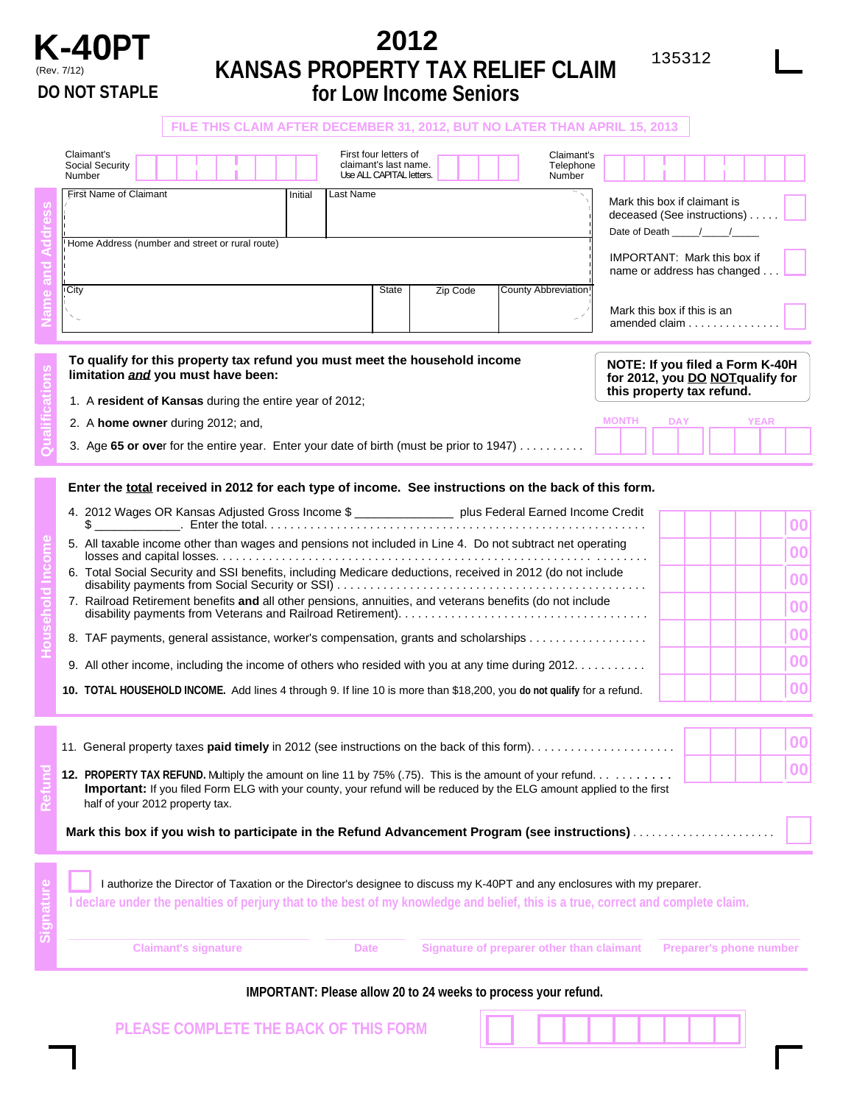

# **K-40PT** 2012<br> **EXAMPLE 2012** (Rev. 7/12) **KANSAS PROPERTY TAX RELIEF CLAIM DO NOT STAPLE for Low Income Seniors**

, .**<sup>00</sup>**

**FILE THIS CLAIM AFTER DECEMBER 31, 2012, BUT NO LATER THAN APRIL 15, 2013**  Claimant's<br>
Social Security<br>
Number Telephone<br>
First Name of Claimant<br>
First Name of Claimant<br>
Telephone<br>
Telephone<br>
Unitial Last Name<br>
Last Name<br>
Telephone<br>
Telephone<br>
Number Claimant's<br>
Social Security<br>
Number Use ALL CAPITAL letters.<br>
First Name of Claimant<br>
First Name of Claimant<br>
Initial Last Name<br>
Linitial Last Name Social Security **claimant's last name.** Telephone Claimant's last name. Telephone Claimant's last name. Telephone Claimant's last name. Telephone Claimant's last name. Telephone Claimant's last name. Telephone Claimant's l First Name of Claimant **Initial Mark this box if claimant is**<br>
Alternative Mark this box if claimant is Last Name **Household Income Refund Qualifications Signature Name and Address** deceased (See instructions) . . Date of Death Home Address (number and street or rural route) IMPORTANT: Mark this box if name or address has changed. County Abbreviation City **State Zip Code City** State Zip Code Mark this box if this is an  $\mathbb{R}^2$ amended claim . . . . . . . . . . **To qualify for this property tax refund you must meet the household income** initiation and you must have been: **for 2012**, you DO NOTqualify for this property tax refund. **this property tax refund.** 1. <sup>A</sup> **resident of Kansas** during the entire year of 2012; 2. A **home owner** during 2012; and, **MONTH** DAY YEAR 3. Age **65 or ove**r for the entire year. Enter your date of birth (must be prior to 1947) . . . . . . . . . . **Enter the total received in 2012 for each type of income. See instructions on the back of this form.**  4. 2012 Wages OR Kansas Adjusted Gross Income \$ \_\_\_\_\_\_\_\_\_\_\_\_\_\_\_\_\_\_ plus Federal Earned Income Credit , .**<sup>00</sup>**  $\$\_\_$ 5. All taxable income other than wages and pensions not included in Line 4. Do not subtract net operating , .**<sup>00</sup>** losses and capital losses. . . . . . . . . . . . . . . . . . . . . . . . . . . . . . . . . . . . . . . . . . . . . . . . . . . . . . . . . ........ , .**<sup>00</sup>** 6. Total Social Security and SSI benefits, including Medicare deductions, received in 2012 (do not include disability payments from Social Security or SSI) . ... ... . . ... . . ... . . . . ... . . ... . . ... . . ... . . ... . . . , .**<sup>00</sup>** 7. Railroad Retirement benefits **and** all other pensions, annuities, and veterans benefits (do not include disability payments from Veterans and Railroad Retirement). . . ... . . ... . . ... . . ... . . ... . . ... . . ... . . , .**<sup>00</sup>** 8. TAF payments, general assistance, worker's compensation, grants and scholarships . . . . . . . . . . . . . . . . , .**<sup>00</sup>** 9. All other income, including the income of others who resided with you at any time during 2012. . . . . . . . . .

**10. TOTAL HOUSEHOLD INCOME.** Add lines 4 through 9. If line 10 is more than \$18,200, you **do not qualify** for a refund.

| Mark this box if you wish to participate in the Refund Advancement Program (see instructions)                                                                   |  |  |  |
|-----------------------------------------------------------------------------------------------------------------------------------------------------------------|--|--|--|
| <b>Important:</b> If you filed Form ELG with your county, your refund will be reduced by the ELG amount applied to the first<br>half of your 2012 property tax. |  |  |  |
|                                                                                                                                                                 |  |  |  |
|                                                                                                                                                                 |  |  |  |

|  |                             |             | I authorize the Director of Taxation or the Director's designee to discuss my K-40PT and any enclosures with my preparer.         |                                |
|--|-----------------------------|-------------|-----------------------------------------------------------------------------------------------------------------------------------|--------------------------------|
|  |                             |             | I declare under the penalties of perjury that to the best of my knowledge and belief, this is a true, correct and complete claim. |                                |
|  |                             |             |                                                                                                                                   |                                |
|  | <b>Claimant's signature</b> | <b>Date</b> | Signature of preparer other than claimant                                                                                         | <b>Preparer's phone number</b> |

## **IMPORTANT: Please allow 20 to 24 weeks to process your refund.**

**PLEASE COMPLETE THE BACK OF THIS FORM**

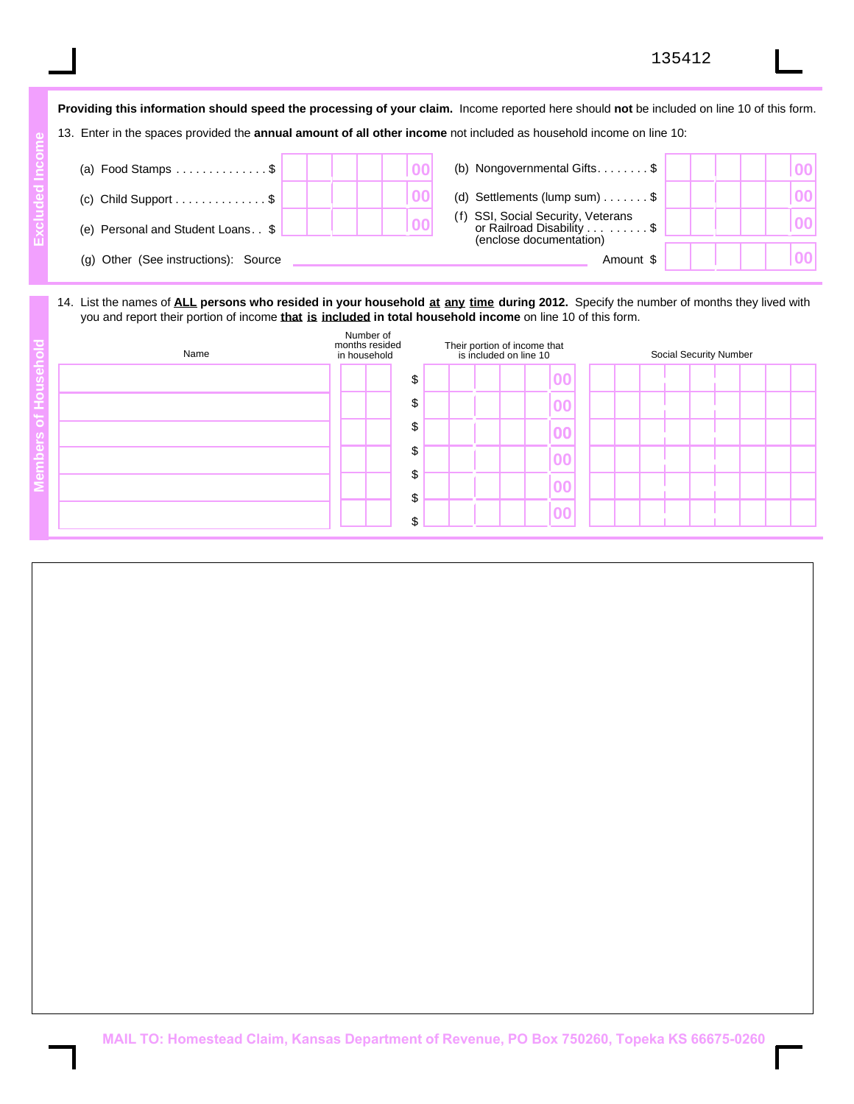|                                              | Providing this information should speed the processing of your claim. Income reported here should not be included on line 10 of this form. |  |
|----------------------------------------------|--------------------------------------------------------------------------------------------------------------------------------------------|--|
|                                              | 13. Enter in the spaces provided the <b>annual amount of all other income</b> not included as household income on line 10:                 |  |
|                                              |                                                                                                                                            |  |
| (a) Food Stamps $\dots \dots \dots \dots$ \$ | (b) Nongovernmental Gifts. $\dots \dots$ \$                                                                                                |  |
| (c) Child Support $\dots \dots \dots \dots$  | (d) Settlements (lump sum) $\ldots \ldots$ \$                                                                                              |  |
| (e) Personal and Student Loans. . \$         | SSI, Social Security, Veterans<br>or Railroad Disability \$<br>(enclose documentation)                                                     |  |
| Other (See instructions): Source<br>(a)      | Amount \$                                                                                                                                  |  |

**Excluded Income** 

Excluded Incom

## 14. List the names of **ALL persons who resided in your household at any time during 2012.** Specify the number of months they lived with you and report their portion of income **that is included in total household income** on line 10 of this form.

| Name | Number of<br>months resided<br>in household | Their portion of income that<br>is included on line 10 |  |  | Social Security Number |                          |  |  |  |  |  |  |  |  |  |
|------|---------------------------------------------|--------------------------------------------------------|--|--|------------------------|--------------------------|--|--|--|--|--|--|--|--|--|
|      |                                             |                                                        |  |  |                        | 00                       |  |  |  |  |  |  |  |  |  |
|      |                                             |                                                        |  |  |                        | 00                       |  |  |  |  |  |  |  |  |  |
|      |                                             |                                                        |  |  |                        |                          |  |  |  |  |  |  |  |  |  |
|      |                                             |                                                        |  |  |                        | $\overline{\mathbf{00}}$ |  |  |  |  |  |  |  |  |  |
|      |                                             |                                                        |  |  |                        | 0 <sub>0</sub>           |  |  |  |  |  |  |  |  |  |
|      |                                             |                                                        |  |  |                        | 00                       |  |  |  |  |  |  |  |  |  |
|      |                                             |                                                        |  |  |                        |                          |  |  |  |  |  |  |  |  |  |